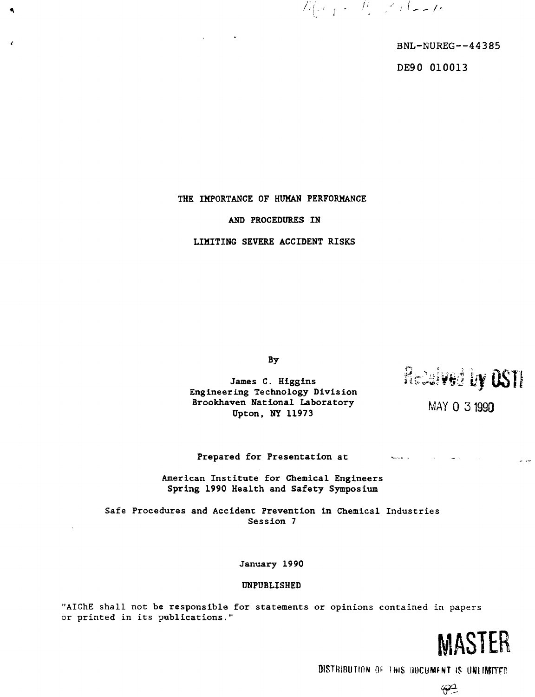$\mathbb{Z}_{\left\{ \mathcal{F}\right\} }=\mathbb{Z}_{\left\{ \mathcal{F}\right\} }\mathbb{Z}_{\left\{ \mathcal{F}\right\} }$ 

BNL-NUREG—44385

DE90 010013

## THE IMPORTANCE OF HUMAN PERFORMANCE

 $\blacksquare$ 

 $\epsilon$ 

### AND PROCEDURES IN

LIMITING SEVERE ACCIDENT RISKS

By

**Engineering Technology Division** Brookhaven National Laboratory Upton, NY 11973

James C. Higgins  $\widehat{\text{H}}$ Cess  $\forall$   $\forall$   $\exists$   $\exists$ 

MAY 0 3 1990

ليدان

# **Prepared for Presentation at •—**

**American Institute for Chemical Engineers Spring 1990 Health and Safety Symposium**

Safe Procedures **and Accident Prevention in** Chemical Industries **Session 7**

**January 1990**

#### UNPUBLISHED

"AIChE shall not **be responsible for statements or opinions** contained in papers or printed in its publications."

**MASTER** 

**DISTRIBUTION Of THIS DOCUMENT |?**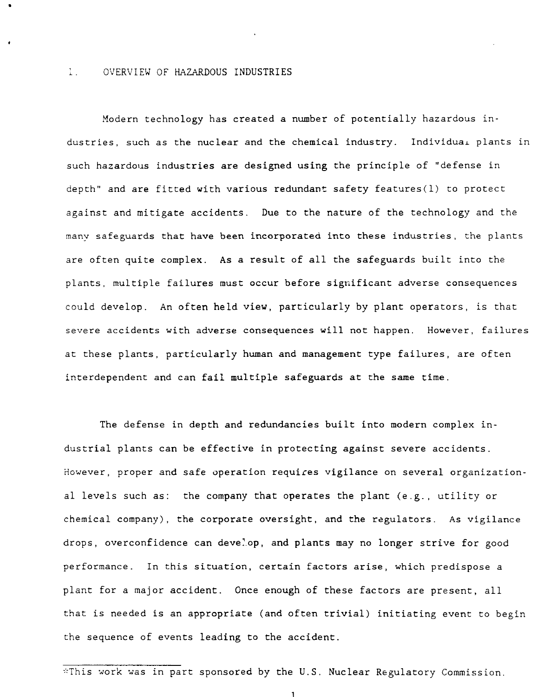### I. OVERVIEW OF HAZARDOUS INDUSTRIES

Modern technology has created a number of potentially hazardous industries, such as the nuclear and the chemical industry. Individual plants in such hazardous industries are designed using the principle of "defense in depth" and are fitted with various redundant safety features(1) to protect against and mitigate accidents. Due to the nature of the technology and the many safeguards that have been incorporated into these industries, the plants are often quite complex. As a result of all the safeguards built into the plants, multiple failures must occur before significant adverse consequences could develop. An often held view, particularly by plant operators, is that severe accidents with adverse consequences will not happen. However, failures at these plants, particularly human and management type failures, are often interdependent and can fail multiple safeguards at the same time.

The defense in depth and redundancies built into modern complex industrial plants can be effective in protecting against severe accidents. However, proper and safe operation requires vigilance on several organizational levels such as: the company that operates the plant (e.g., utility or chemical company), the corporate oversight, and the regulators. As vigilance drops, overconfidence can develop, and plants may no longer strive for good performance. In this situation, certain factors arise, which predispose a plant for a major accident. Once enough of these factors are present, all that is needed is an appropriate (and often trivial) initiating event to begin the sequence of events leading to the accident.

\*This work was in part sponsored by the U.S. Nuclear Regulatory Commission.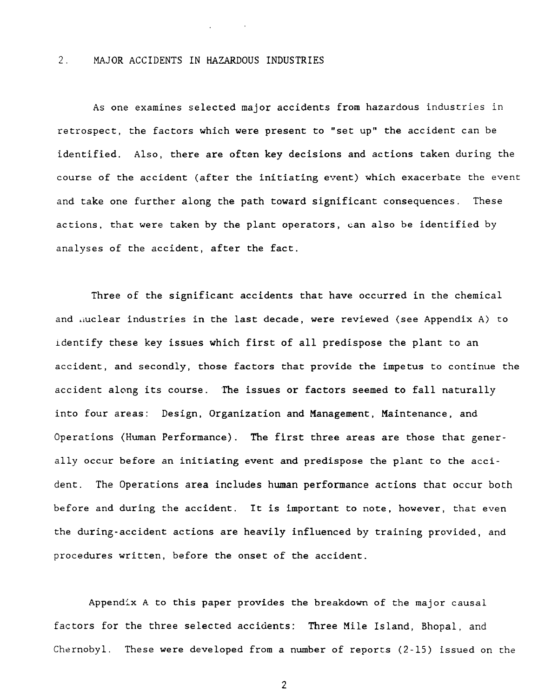### 2. MAJOR ACCIDENTS IN HAZARDOUS INDUSTRIES

As one examines selected major accidents from hazardous industries in retrospect, the factors which were present to "set up" the accident can be identified. Also, there are often key decisions and actions taken during the course of the accident (after the initiating event) which exacerbate the event and take one further along the path toward significant consequences. These actions, that were taken by the plant operators, can also be identified by analyses of the accident, after the fact.

Three of the significant accidents that have occurred in the chemical and liuclear industries in the last decade, were reviewed (see Appendix A) to identify these key issues which first of all predispose the plant to an accident, and secondly, those factors that provide the impetus to continue the accident along its course. **The issues or factors** seemed to fall naturally into four areas: Design, Organization **and** Management, Maintenance, and Operations (Human Performance). The first three areas are those that generally occur before an initiating event and predispose the plant to the accident. The Operations area includes human performance actions that occur both before and during the accident. It is important to note, however, that even the during-accident actions are heavily influenced by training provided, and procedures written, before the onset of the accident.

Appendix A to this paper provides the breakdown of the major causal factors for the three selected accidents: Three Mile Island, Bhopal, and Chernobyl. These were developed from a number of reports (2-15) issued on the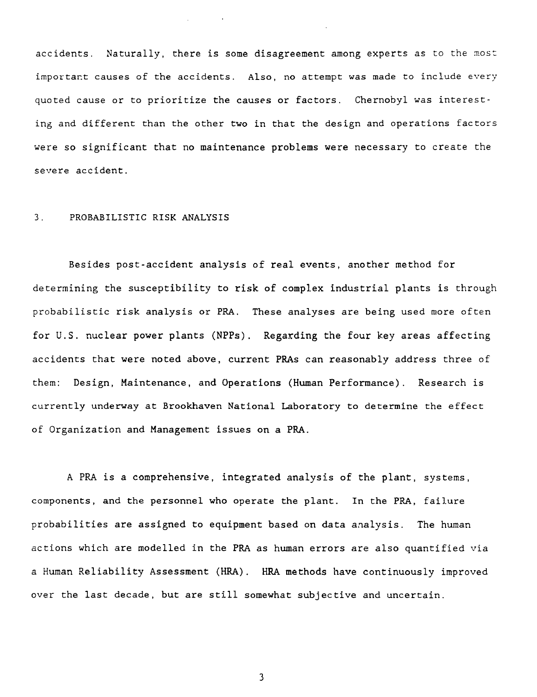accidents. Naturally, there is some disagreement among experts as to the most important causes of the accidents. Also, no attempt was made to include every quoted cause or to prioritize the causes or factors. Chernobyl was interesting and different than the other two in that the design and operations factors were so significant that no maintenance problems were necessary to create the severe accident.

### 3. PROBABILISTIC RISK ANALYSIS

Besides post-accident analysis of real events, another method for determining the susceptibility to risk of complex industrial plants is through probabilistic risk analysis or PRA. These analyses are being used more often for U.S. nuclear power plants (NPPs). Regarding the four key areas affecting accidents that were noted above, current PRAs can reasonably address three of them: Design, Maintenance, and Operations (Human Performance). Research is currently underway at Brookhaven National Laboratory to determine the effect of Organization and Management issues on a PRA.

A PRA is a comprehensive, integrated analysis of the plant, systems, components, and the personnel who operate the plant. In the PRA, failure probabilities are assigned to equipment based on data analysis. The human actions which are modelled in the PRA as human errors are also quantified via a Human Reliability Assessment (HRA). HRA methods have continuously improved over the last decade, but are still somewhat subjective and uncertain.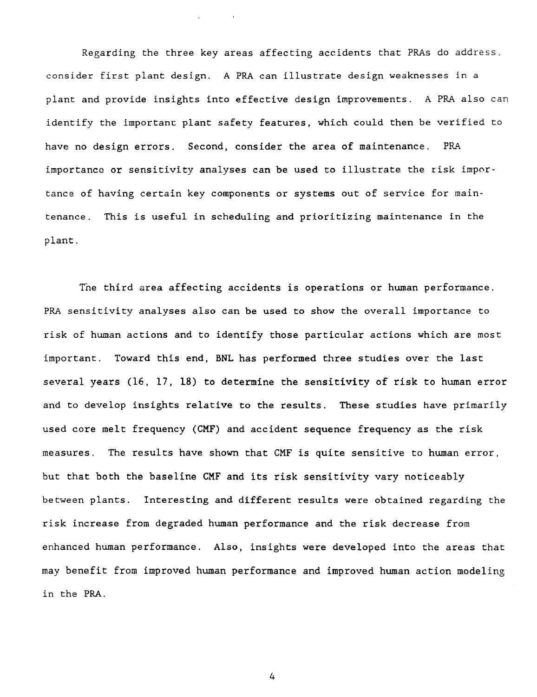Regarding the three key areas affecting accidents that PRAs do address, consider first plant design. A PRA can illustrate design weaknesses in a plant and provide insights into effective design improvements. A PRA also can identify the important plant safety features, which could then be verified to have no design errors. Second, consider the area of maintenance. PRA importance or sensitivity analyses can be used to illustrate the risk importance of having certain key components or systems out of service for maintenance. This is useful in scheduling and prioritizing maintenance in the plant.

The third area affecting accidents is operations or human performance. PRA sensitivity analyses also can be used to show the overall importance to risk of human actions and to identify those particular actions which are most important. Toward this end, BNL has performed three studies over the last several years (16, 17, 18) to determine the sensitivity of risk to human error and to develop insights relative to the results. These studies have primarily used core melt frequency (CMF) and accident sequence frequency as the risk measures. The results have shown that CMF is quite sensitive to human error, but that both the baseline CMF and its risk sensitivity vary noticeably between plants. Interesting and different results were obtained regarding the risk increase from degraded human performance and the risk decrease from enhanced human performance. Also, insights were developed into the areas that may benefit from improved human performance and improved human action modeling in the PRA.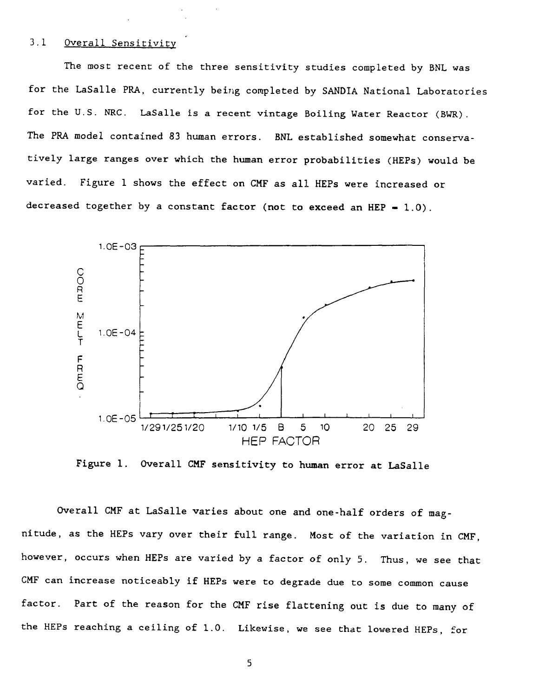### 3.1 Overall Sensitivity

The most recent of the three sensitivity studies completed by BNL was for the LaSalle PRA, currently being completed by SANDIA National Laboratories for the U.S. NRC. LaSalle is a recent vintage Boiling Water Reactor (BWR). The PRA model contained 83 human errors. BNL established somewhat conservatively large ranges over which the human error probabilities (HEPs) would be varied. Figure 1 shows the effect on CMF as all HEPs were increased or decreased together by a constant factor **(not to** exceed an HEP - 1.0).



Figure **1.** Overall **CMF sensitivity to human error at LaSalle**

Overall CMF at LaSalle varies about one and one-half orders of magnitude, as the HEPs vary over their full range. Most of the variation in CMF, however, occurs when HEPs are varied by a factor of only 5. Thus, we see that CMF can increase noticeably if HEPs were to degrade due to some common cause factor. Part of the reason for the CMF rise flattening out is due to many of the HEPs reaching a ceiling of 1.0. Likewise, we see that lowered HEPs, for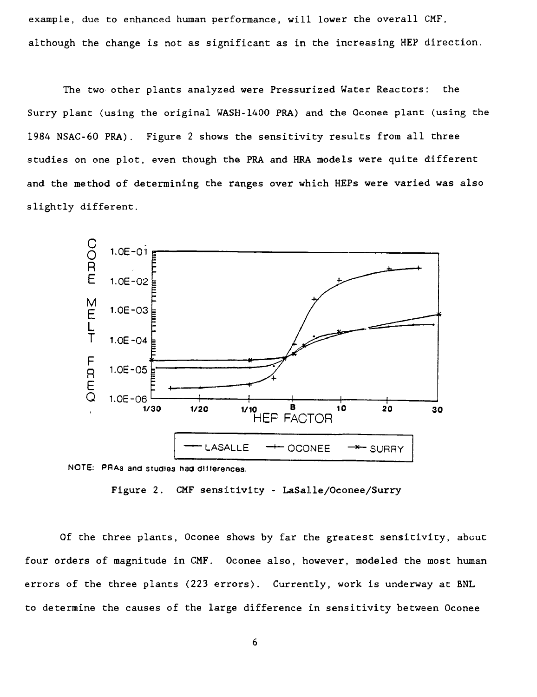example, due to enhanced human performance, will lower the overall CMF, although the change is not as significant as in the increasing HEP direction.

The two other plants analyzed were Pressurized Water Reactors: the Surry plant (using the original WASH-1400 PRA) and the Qconee plant (using the 1984 NSAC-60 PRA). Figure 2 shows the sensitivity results from all three studies on one plot, even though the PRA and HRA models were quite different and the method of determining the ranges over which HEPs were varied was also slightly different.



Figure 2. CMF sensitivity - LaSalle/Oconee/Surry

Of the three plants, Oconee shows by far the greatest sensitivity, about four orders of magnitude in CMF. Oconee also, however, modeled the most human errors of the three plants (223 errors). Currently, work is underway at BNL to determine the causes of the large difference in sensitivity between Oconee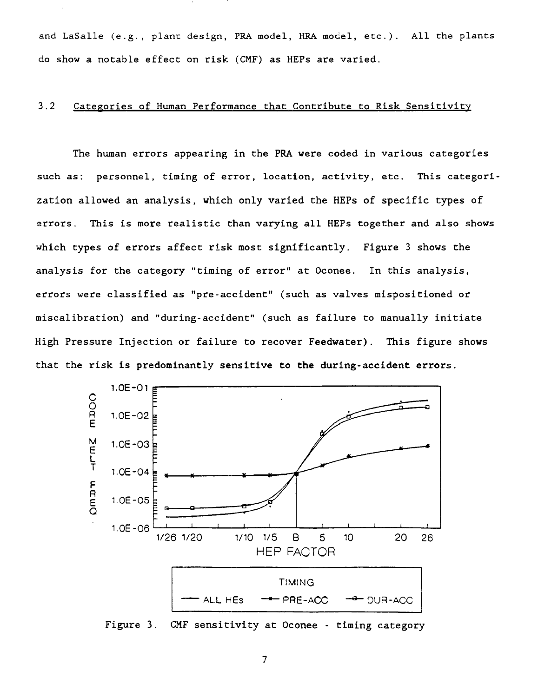and LaSalle (e.g., plant design, PRA model, HRA model, etc.). All the plants do show a notable effect on risk (CMF) as HEPs are varied.

### 3.2 Categories of Human Performance that Contribute to Risk Sensitivity

The human errors appearing in the PRA were coded in various categories such as: personnel, timing of error, location, activity, etc. This categorization allowed an analysis, which only varied the HEPs of specific types of errors. This is more realistic than varying all HEPs together and also shows which types of errors affect risk most significantly. Figure 3 shows the analysis for the category "timing of error" at Oconee. In this analysis, errors were classified as "pre-accident" (such as valves mispositioned or miscalibration) and "during-accident" (such as failure to manually initiate High Pressure Injection or failure to recover Feedwater). This figure shows that the risk is predominantly sensitive to **the** during-accident errors.



Figure 3. CMF sensitivity at Oconee - timing category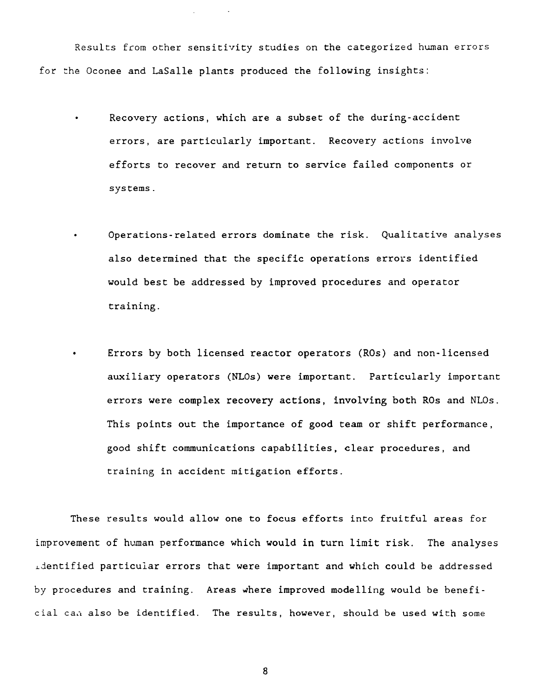Results from other sensitivity studies on the categorized human errors for the Oconee and LaSalle plants produced the following insights:

- Recovery actions, which are a subset of the during-accident errors, are particularly important. Recovery actions involve efforts to recover and return to service failed components or systems.
- Operations-related errors dominate the risk. Qualitative analyses also determined that the specific operations errors identified would best be addressed by improved procedures and operator training.
- Errors by both licensed reactor operators (ROs) and non-licensed auxiliary operators (NLOs) were important. Particularly important errors were complex recovery actions, involving both ROs and NLOs. This points out the importance of good team or shift performance, good shift communications capabilities, clear procedures, and training in accident mitigation efforts.

These results would allow one to focus efforts into fruitful areas for improvement of human performance which would in turn limit risk. The analyses identified particular errors that were important and which could be addressed by procedures and training. Areas where improved modelling would be beneficial cau also be identified. The results, however, should be used with some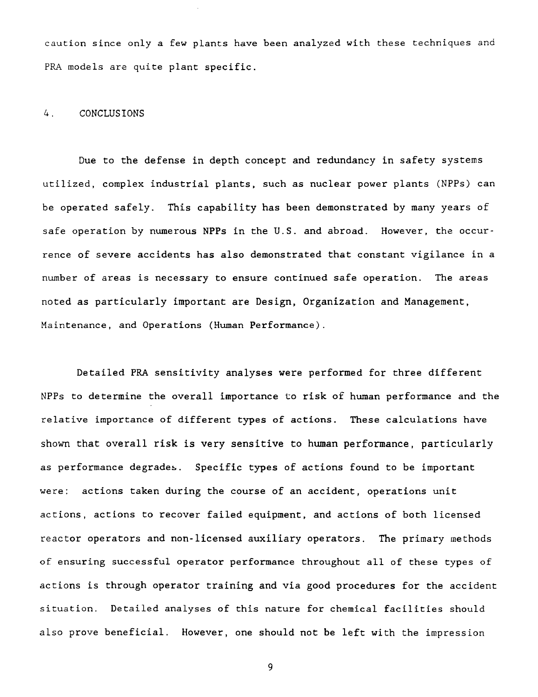caution since only a few plants have been analyzed with these techniques and PRA models are quite plant specific.

### 4. CONCLUSIONS

Due to the defense in depth concept and redundancy in safety systems utilized, complex industrial plants, such as nuclear power plants (NPPs) can be operated safely. This capability has been demonstrated by many years of safe operation by numerous NPPs in the U.S. and abroad. However, the occurrence of severe accidents has also demonstrated that constant vigilance in a number of areas is necessary to ensure continued safe operation. The areas noted as particularly important are Design, Organization and Management, Maintenance, and Operations (Human Performance).

Detailed PRA sensitivity analyses were performed for three different NPPs to determine the overall importance to risk of human performance and the relative importance of different types of actions. These calculations have shown that overall risk is very sensitive to human performance, particularly as performance degrades. Specific types of actions found to be important were: actions taken during the course of an accident, operations unit actions, actions to recover failed equipment, and actions of both licensed reactor operators and non-licensed auxiliary operators. The primary methods of ensuring successful operator performance throughout all of these types of actions is through operator training and via good procedures for the accident situation. Detailed analyses of this nature for chemical facilities should also prove beneficial. However, one should not be left with the impression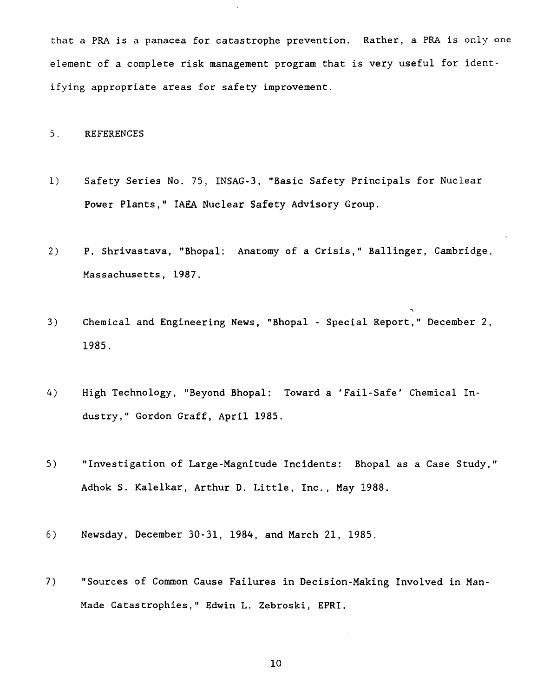that a PRA is a panacea for catastrophe prevention. Rather, a PRA is only one element of a complete risk management program that is very useful for identifying appropriate areas for safety improvement.

### 5. REFERENCES

- 1) Safety Series No. 75, INSAG-3, "Basic Safety Principals for Nuclear Power Plants," IAEA Nuclear Safety Advisory Group.
- 2) P. Shrivastava, "Bhopal: Anatomy of a Crisis," Ballinger, Cambridge, Massachusetts, 1987.
- 3) Chemical and Engineering News, "Bhopal Special Report," December 2, 1985.
- 4) High Technology, "Beyond Bhopal: Toward a 'Fail-Safe' Chemical Industry," Gordon Graff, April 1985.
- 5) "Investigation of Large-Magnitude Incidents: Bhopal as a Case Study," Adhok S. Kalelkar, Arthur D. Little, Inc., May 1988.
- 6) Newsday, December 30-31, 1984, and March 21, 1985.
- 7) "Sources of Common Cause Failures in Decision-Making Involved in Man-Made Catastrophies," Edwin L. Zebroski, EPRI.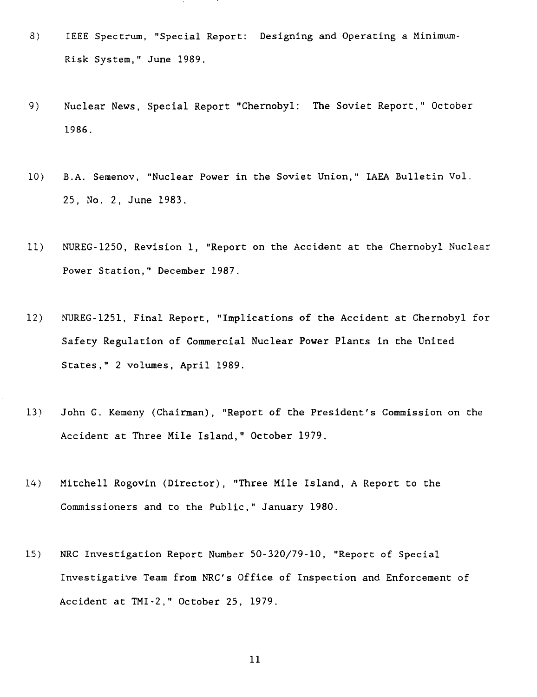- 8) IEEE Spectrum, "Special Report: Designing and Operating a Minimum-Risk System," June 1989.
- 9) Nuclear News, Special Report "Chernobyl: The Soviet Report," October 1986.
- 10) B.A. Semenov, "Nuclear Power in the Soviet Union," IAEA Bulletin Vol. 25, No. 2, June 1983.
- 11) NUREG-1250, Revision 1, "Report on the Accident at the Chernobyl Nuclear Power Station," December 1987.
- 12) NUREG-1251, Final Report, "Implications of the Accident at Chernobyl for Safety Regulation of Commercial Nuclear Power Plants in the United States," 2 volumes, April 1989.
- 13) John G. Kemeny (Chairman), "Report of the President's Commission on the Accident at Three Mile Island," October 1979.
- 14) Mitchell Rogovin (Director), "Three Mile Island, A Report to the Commissioners and to the Public," January 1980.
- 15) NRC Investigation Report Number 50-320/79-10, "Report of Special Investigative Team from NRC's Office of Inspection and Enforcement of Accident at TMI-2," October 25, 1979.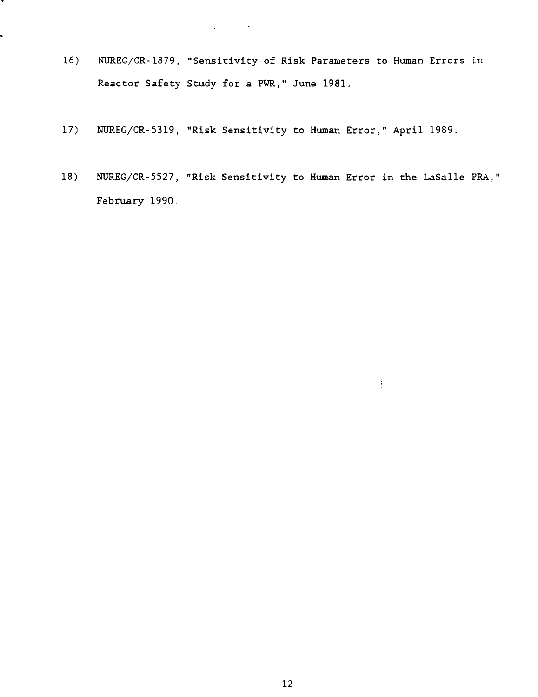- 16) NUREG/CR-1879, "Sensitivity of Risk Parameters to Human Errors in Reactor Safety Study for a PWR," June 1981.
- 17) NUREG/CR-5319, "Risk Sensitivity to Human Error," April 1989.

 $\mathcal{L}^{\text{max}}$  ,  $\mathcal{L}^{\text{max}}$ 

 $\mathbb{R}^2$ 

.

 $\ddot{\phantom{0}}$ 

18) NUREG/CR-5527, "Risk Sensitivity to Human Error in the LaSalle PRA," February 1990.

 $\frac{1}{2}$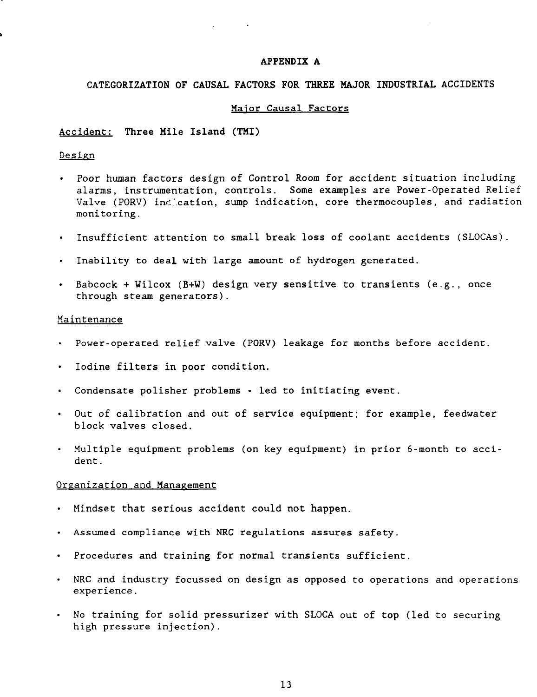#### **APPENDIX A**

## **CATEGORIZATION OF CAUSAL FACTORS FOR THREE MAJOR INDUSTRIAL** ACCIDENTS

#### Major Causal Factors

#### Accident: **Three Mile Island (TMI)**

## Design

- Poor human factors design of Control Room for accident situation including alarms, instrumentation, controls. Some examples are Power-Operated Relief Valve (PORV) incleation, sump indication, core thermocouples, and radiation monitoring.
- Insufficient attention to small **break loss** of coolant accidents (SLOCAs).  $\bullet$
- Inability to deal with large amount of hydrogen generated.
- Babcock + Wilcox (B+W) design very sensitive to transients (e.g., once through steam generators).

### Maintenance

- Power-operated relief valve (PORV) leakage for months before accident.
- Iodine filters in poor condition.
- Condensate polisher problems led to initiating event.
- Out of calibration and out of service equipment; for example, feedwater block valves closed.
- Multiple equipment problems (on key equipment) in prior 6-month to accident.

### Organization and Management

- Mindset that serious accident could not happen.  $\bullet$
- Assumed compliance with NRC regulations assures safety.
- Procedures and training for normal transients sufficient.
- NRC and industry focussed on design as opposed to operations and operations experience.
- No training for solid pressurizer with SLOCA out of top (led to securing high pressure injection).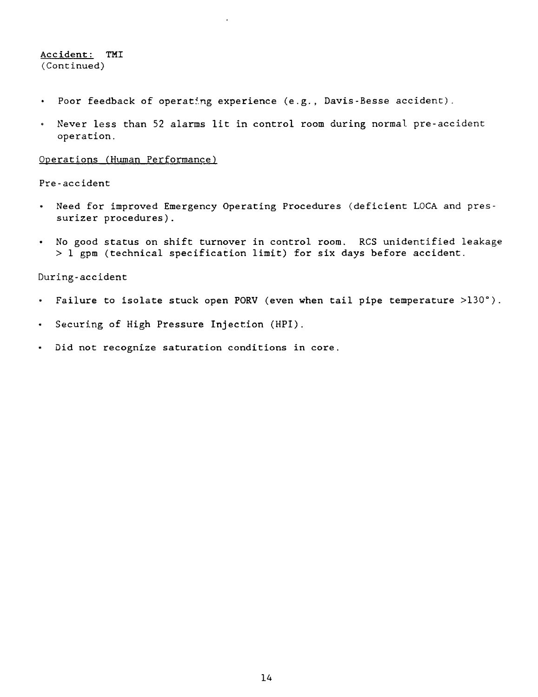## Accident: TMI (Continued)

- $\bullet$ Poor feedback of operating experience (e.g., Davis-Besse accident).
- Never less than 52 alarms lit in control room during normal pre-accident  $\bullet$ operation.

### Operations (Human Performance)

### Pre-accident

- Need for improved Emergency Operating Procedures (deficient LOCA and pres- $\bullet$ surizer procedures).
- No good status on shift turnover in control room. RCS unidentified leakage  $\bullet$  . > 1 gpm (technical specification limit) for six days before accident.

### During-accident

- Failure to isolate stuck open PORV (even when tail pipe temperature >130°).  $\bullet$
- Securing of High Pressure Injection (HPI).
- Did not recognize saturation conditions in core.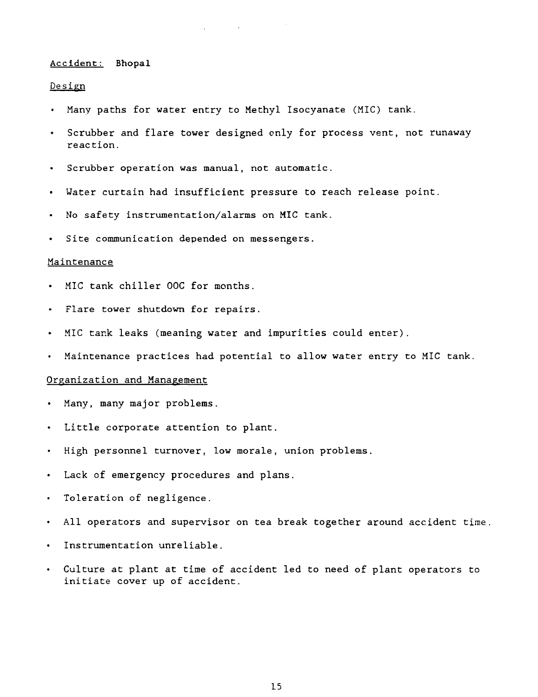#### Accident: Bhopal

### Design

- Many paths for water entry to Methyl Isocyanate (MIC) tank.
- Scrubber and flare tower designed only for process vent, not runaway reaction.
- Scrubber operation was manual, not automatic.  $\bullet$
- Water curtain had insufficient pressure to reach release point.  $\bullet$
- No safety instrumentation/alarms on MIC tank.
- Site communication depended on messengers.

### Maintenance

- MIC tank chiller 00C for months.
- Flare tower shutdown for repairs.
- MIC tank leaks (meaning water and impurities could enter).
- Maintenance practices had potential to allow water entry to MIC tank.

### Organization and Management

- Many, many major problems.
- Little corporate attention to plant.
- High personnel turnover, low morale, union problems.  $\bullet$
- Lack of emergency procedures and plans.  $\bullet$
- Toleration of negligence.  $\bullet$
- All operators and supervisor on tea break together around accident time  $\bullet$
- Instrumentation unreliable.  $\bullet$
- Culture at plant at time of accident led to need of plant operators to  $\bullet$ initiate cover up of accident.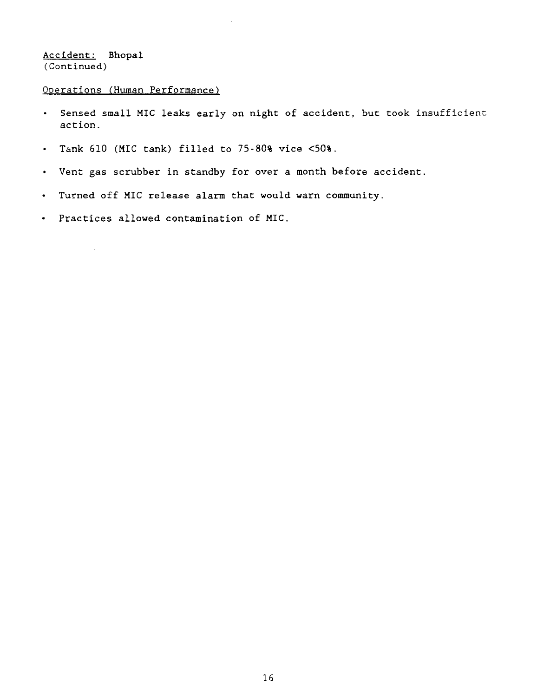Accident: Bhopal (Continued)

 $\hat{\boldsymbol{\gamma}}$ 

# Operations (Human Performance)

- Sensed small MIC leaks early on night of accident, but took insufficient  $\bullet$  . action.
- Tank 610 (MIC tank) filled to 75-80% vice <50%.
- Vent gas scrubber in standby for over a month before accident.
- Turned off MIC release alarm that would warn community.  $\bullet$  .
- Practices allowed contamination of MIC.